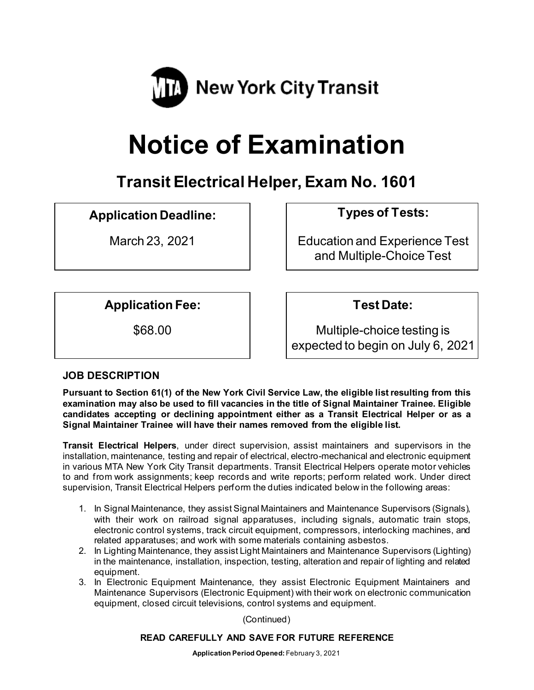

# **Notice of Examination**

**Transit Electrical Helper,Exam No. 1601**

# **Application Deadline: Types of Tests:**

March 23, 2021 **Education and Experience Test** and Multiple-Choice Test

**Application Fee: Test Date:**

\$68.00 Multiple-choice testing is expected to begin on July 6, 2021

## **JOB DESCRIPTION**

**Pursuant to Section 61(1) of the New York Civil Service Law, the eligible list resulting from this examination may also be used to fill vacancies in the title of Signal Maintainer Trainee. Eligible candidates accepting or declining appointment either as a Transit Electrical Helper or as a Signal Maintainer Trainee will have their names removed from the eligible list.** 

**Transit Electrical Helpers**, under direct supervision, assist maintainers and supervisors in the installation, maintenance, testing and repair of electrical, electro-mechanical and electronic equipment in various MTA New York City Transit departments. Transit Electrical Helpers operate motor vehicles to and from work assignments; keep records and write reports; perform related work. Under direct supervision, Transit Electrical Helpers perform the duties indicated below in the following areas:

- 1. In Signal Maintenance, they assist Signal Maintainers and Maintenance Supervisors (Signals), with their work on railroad signal apparatuses, including signals, automatic train stops, electronic control systems, track circuit equipment, compressors, interlocking machines, and related apparatuses; and work with some materials containing asbestos.
- 2. In Lighting Maintenance, they assist Light Maintainers and Maintenance Supervisors (Lighting) in the maintenance, installation, inspection, testing, alteration and repair of lighting and related equipment.
- 3. In Electronic Equipment Maintenance, they assist Electronic Equipment Maintainers and Maintenance Supervisors (Electronic Equipment) with their work on electronic communication equipment, closed circuit televisions, control systems and equipment.

(Continued)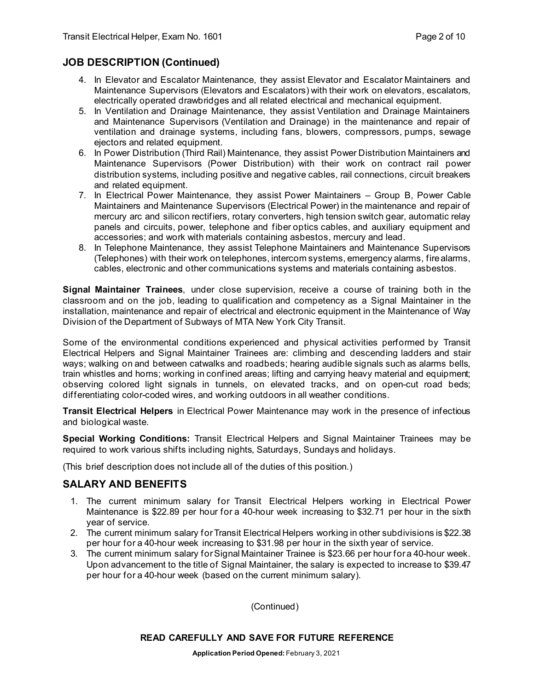#### **JOB DESCRIPTION (Continued)**

- 4. In Elevator and Escalator Maintenance, they assist Elevator and Escalator Maintainers and Maintenance Supervisors (Elevators and Escalators) with their work on elevators, escalators, electrically operated drawbridges and all related electrical and mechanical equipment.
- 5. In Ventilation and Drainage Maintenance, they assist Ventilation and Drainage Maintainers and Maintenance Supervisors (Ventilation and Drainage) in the maintenance and repair of ventilation and drainage systems, including fans, blowers, compressors, pumps, sewage ejectors and related equipment.
- 6. In Power Distribution (Third Rail) Maintenance, they assist Power Distribution Maintainers and Maintenance Supervisors (Power Distribution) with their work on contract rail power distribution systems, including positive and negative cables, rail connections, circuit breakers and related equipment.
- 7. In Electrical Power Maintenance, they assist Power Maintainers Group B, Power Cable Maintainers and Maintenance Supervisors (Electrical Power) in the maintenance and repair of mercury arc and silicon rectifiers, rotary converters, high tension switch gear, automatic relay panels and circuits, power, telephone and fiber optics cables, and auxiliary equipment and accessories; and work with materials containing asbestos, mercury and lead.
- 8. In Telephone Maintenance, they assist Telephone Maintainers and Maintenance Supervisors (Telephones) with their work on telephones, intercom systems, emergency alarms, fire alarms, cables, electronic and other communications systems and materials containing asbestos.

**Signal Maintainer Trainees**, under close supervision, receive a course of training both in the classroom and on the job, leading to qualification and competency as a Signal Maintainer in the installation, maintenance and repair of electrical and electronic equipment in the Maintenance of Way Division of the Department of Subways of MTA New York City Transit.

Some of the environmental conditions experienced and physical activities performed by Transit Electrical Helpers and Signal Maintainer Trainees are: climbing and descending ladders and stair ways; walking on and between catwalks and roadbeds; hearing audible signals such as alarms bells, train whistles and horns; working in confined areas; lifting and carrying heavy material and equipment; observing colored light signals in tunnels, on elevated tracks, and on open-cut road beds; differentiating color-coded wires, and working outdoors in all weather conditions.

**Transit Electrical Helpers** in Electrical Power Maintenance may work in the presence of infectious and biological waste.

**Special Working Conditions:** Transit Electrical Helpers and Signal Maintainer Trainees may be required to work various shifts including nights, Saturdays, Sundays and holidays.

(This brief description does not include all of the duties of this position.)

#### **SALARY AND BENEFITS**

- 1. The current minimum salary for Transit Electrical Helpers working in Electrical Power Maintenance is \$22.89 per hour for a 40-hour week increasing to \$32.71 per hour in the sixth year of service.
- 2. The current minimum salary for Transit Electrical Helpers working in other subdivisions is \$22.38 per hour for a 40-hour week increasing to \$31.98 per hour in the sixth year of service.
- 3. The current minimum salary for Signal Maintainer Trainee is \$23.66 per hour for a 40-hour week. Upon advancement to the title of Signal Maintainer, the salary is expected to increase to \$39.47 per hour for a 40-hour week (based on the current minimum salary).

(Continued)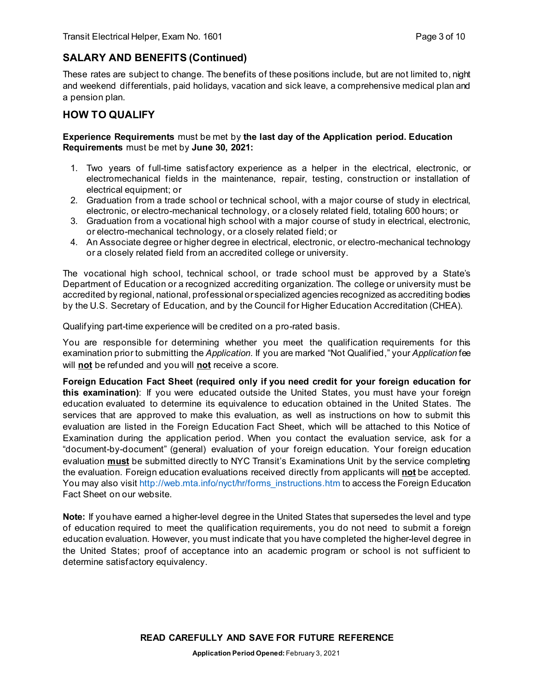# **SALARY AND BENEFITS (Continued)**

These rates are subject to change. The benefits of these positions include, but are not limited to, night and weekend differentials, paid holidays, vacation and sick leave, a comprehensive medical plan and a pension plan.

#### **HOW TO QUALIFY**

#### **Experience Requirements** must be met by **the last day of the Application period. Education Requirements** must be met by **June 30, 2021:**

- 1. Two years of full-time satisfactory experience as a helper in the electrical, electronic, or electromechanical fields in the maintenance, repair, testing, construction or installation of electrical equipment; or
- 2. Graduation from a trade school or technical school, with a major course of study in electrical, electronic, or electro-mechanical technology, or a closely related field, totaling 600 hours; or
- 3. Graduation from a vocational high school with a major course of study in electrical, electronic, or electro-mechanical technology, or a closely related field; or
- 4. An Associate degree or higher degree in electrical, electronic, or electro-mechanical technology or a closely related field from an accredited college or university.

The vocational high school, technical school, or trade school must be approved by a State's Department of Education or a recognized accrediting organization. The college or university must be accredited by regional, national, professional or specialized agencies recognized as accrediting bodies by the U.S. Secretary of Education, and by the Council for Higher Education Accreditation (CHEA).

Qualifying part-time experience will be credited on a pro-rated basis.

You are responsible for determining whether you meet the qualification requirements for this examination prior to submitting the *Application*. If you are marked "Not Qualified," your *Application* fee will **not** be refunded and you will **not** receive a score.

**Foreign Education Fact Sheet (required only if you need credit for your foreign education for this examination)**: If you were educated outside the United States, you must have your foreign education evaluated to determine its equivalence to education obtained in the United States. The services that are approved to make this evaluation, as well as instructions on how to submit this evaluation are listed in the Foreign Education Fact Sheet, which will be attached to this Notice of Examination during the application period. When you contact the evaluation service, ask for a "document-by-document" (general) evaluation of your foreign education. Your foreign education evaluation **must** be submitted directly to NYC Transit's Examinations Unit by the service completing the evaluation. Foreign education evaluations received directly from applicants will **not** be accepted. You may also visi[t http://web.mta.info/nyct/hr/forms\\_instructions.htm](http://web.mta.info/nyct/hr/forms_instructions.htm) to access the Foreign Education Fact Sheet on our website.

**Note:** If you have earned a higher-level degree in the United States that supersedes the level and type of education required to meet the qualification requirements, you do not need to submit a foreign education evaluation. However, you must indicate that you have completed the higher-level degree in the United States; proof of acceptance into an academic program or school is not sufficient to determine satisfactory equivalency.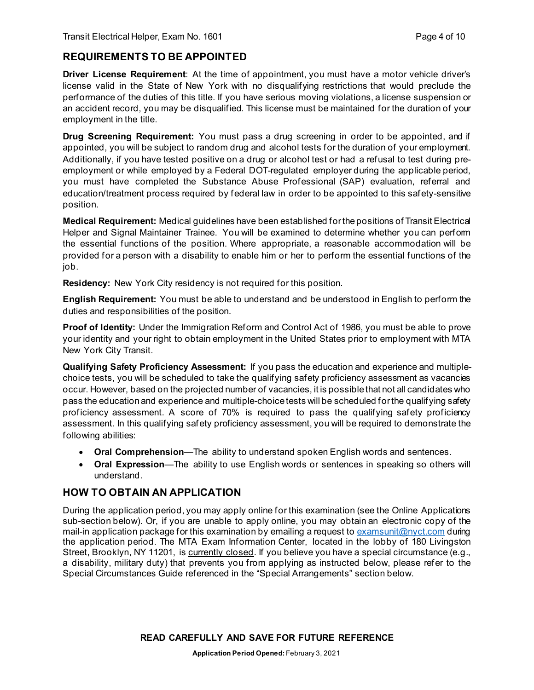# **REQUIREMENTS TO BE APPOINTED**

**Driver License Requirement**: At the time of appointment, you must have a motor vehicle driver's license valid in the State of New York with no disqualifying restrictions that would preclude the performance of the duties of this title. If you have serious moving violations, a license suspension or an accident record, you may be disqualified. This license must be maintained for the duration of your employment in the title.

**Drug Screening Requirement:** You must pass a drug screening in order to be appointed, and if appointed, you will be subject to random drug and alcohol tests for the duration of your employment. Additionally, if you have tested positive on a drug or alcohol test or had a refusal to test during preemployment or while employed by a Federal DOT-regulated employer during the applicable period, you must have completed the Substance Abuse Professional (SAP) evaluation, referral and education/treatment process required by federal law in order to be appointed to this safety-sensitive position.

**Medical Requirement:** Medical guidelines have been established for the positions of Transit Electrical Helper and Signal Maintainer Trainee. You will be examined to determine whether you can perform the essential functions of the position. Where appropriate, a reasonable accommodation will be provided for a person with a disability to enable him or her to perform the essential functions of the job.

**Residency:** New York City residency is not required for this position.

**English Requirement:** You must be able to understand and be understood in English to perform the duties and responsibilities of the position.

**Proof of Identity:** Under the Immigration Reform and Control Act of 1986, you must be able to prove your identity and your right to obtain employment in the United States prior to employment with MTA New York City Transit.

**Qualifying Safety Proficiency Assessment:** If you pass the education and experience and multiplechoice tests, you will be scheduled to take the qualifying safety proficiency assessment as vacancies occur. However, based on the projected number of vacancies, it is possible that not all candidates who pass the education and experience and multiple-choice tests will be scheduled for the qualifying safety proficiency assessment. A score of 70% is required to pass the qualifying safety proficiency assessment. In this qualifying safety proficiency assessment, you will be required to demonstrate the following abilities:

- **Oral Comprehension**—The ability to understand spoken English words and sentences.
- **Oral Expression**—The ability to use English words or sentences in speaking so others will understand.

#### **HOW TO OBTAIN AN APPLICATION**

During the application period, you may apply online for this examination (see the Online Applications sub-section below). Or, if you are unable to apply online, you may obtain an electronic copy of the mail-in application package for this examination by emailing a request t[o examsunit@nyct.com](mailto:examsunit@nyct.com) during the application period. The MTA Exam Information Center, located in the lobby of 180 Livingston Street, Brooklyn, NY 11201, is currently closed. If you believe you have a special circumstance (e.g., a disability, military duty) that prevents you from applying as instructed below, please refer to the Special Circumstances Guide referenced in the "Special Arrangements" section below.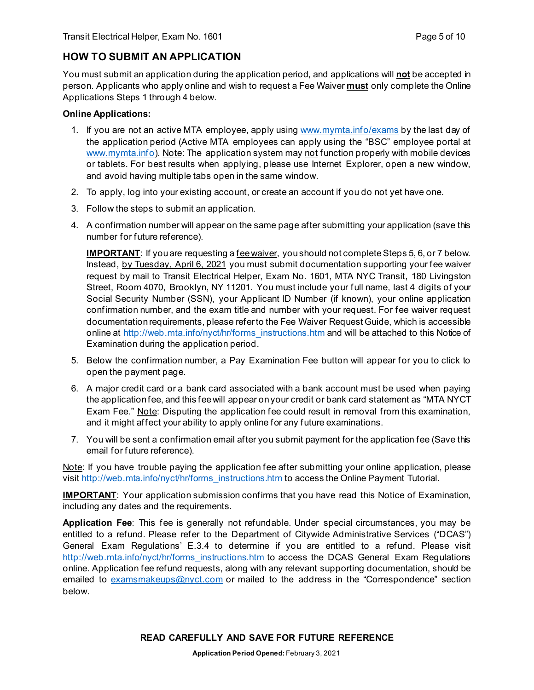# **HOW TO SUBMIT AN APPLICATION**

You must submit an application during the application period, and applications will **not** be accepted in person. Applicants who apply online and wish to request a Fee Waiver **must** only complete the Online Applications Steps 1 through 4 below.

#### **Online Applications:**

- 1. If you are not an active MTA employee, apply using [www.mymta.info/exams](http://www.mymta.info/exams) by the last day of the application period (Active MTA employees can apply using the "BSC" employee portal at [www.mymta.info\)](http://www.mymta.info/). Note: The application system may not function properly with mobile devices or tablets. For best results when applying, please use Internet Explorer, open a new window, and avoid having multiple tabs open in the same window.
- 2. To apply, log into your existing account, or create an account if you do not yet have one.
- 3. Follow the steps to submit an application.
- 4. A confirmation number will appear on the same page after submitting your application (save this number for future reference).

**IMPORTANT**: If you are requesting a fee waiver, you should not complete Steps 5, 6, or 7 below. Instead, by Tuesday, April 6, 2021 you must submit documentation supporting your fee waiver request by mail to Transit Electrical Helper, Exam No. 1601, MTA NYC Transit, 180 Livingston Street, Room 4070, Brooklyn, NY 11201. You must include your full name, last 4 digits of your Social Security Number (SSN), your Applicant ID Number (if known), your online application confirmation number, and the exam title and number with your request. For fee waiver request documentation requirements, please refer to the Fee Waiver Request Guide, which is accessible online at [http://web.mta.info/nyct/hr/forms\\_instructions.htm](http://web.mta.info/nyct/hr/forms_instructions.htm) and will be attached to this Notice of Examination during the application period.

- 5. Below the confirmation number, a Pay Examination Fee button will appear for you to click to open the payment page.
- 6. A major credit card or a bank card associated with a bank account must be used when paying the application fee, and this fee will appear on your credit or bank card statement as "MTA NYCT Exam Fee." Note: Disputing the application fee could result in removal from this examination, and it might affect your ability to apply online for any future examinations.
- 7. You will be sent a confirmation email after you submit payment for the application fee (Save this email for future reference).

Note: If you have trouble paying the application fee after submitting your online application, please visit [http://web.mta.info/nyct/hr/forms\\_instructions.htm](http://web.mta.info/nyct/hr/forms_instructions.htm) to access the Online Payment Tutorial.

**IMPORTANT**: Your application submission confirms that you have read this Notice of Examination, including any dates and the requirements.

**Application Fee**: This fee is generally not refundable. Under special circumstances, you may be entitled to a refund. Please refer to the Department of Citywide Administrative Services ("DCAS") General Exam Regulations' E.3.4 to determine if you are entitled to a refund. Please visit [http://web.mta.info/nyct/hr/forms\\_instructions.htm](http://web.mta.info/nyct/hr/forms_instructions.htm) to access the DCAS General Exam Regulations online. Application fee refund requests, along with any relevant supporting documentation, should be emailed to [examsmakeups@nyct.com](mailto:examsmakeups@nyct.com) or mailed to the address in the "Correspondence" section below.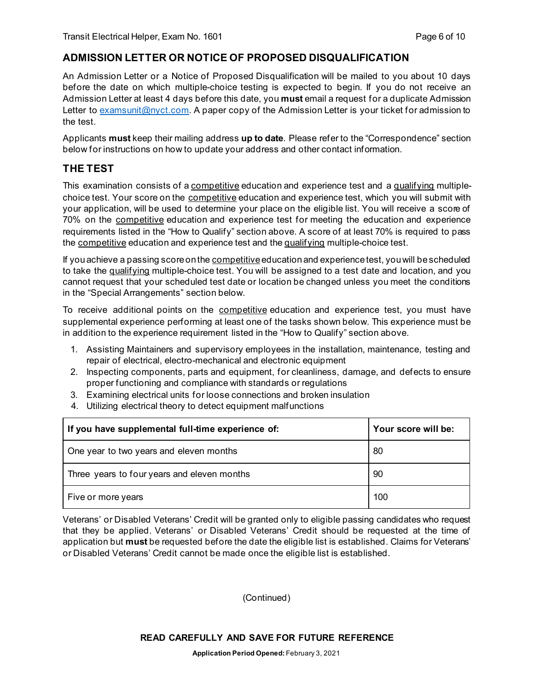#### **ADMISSION LETTER OR NOTICE OF PROPOSED DISQUALIFICATION**

An Admission Letter or a Notice of Proposed Disqualification will be mailed to you about 10 days before the date on which multiple-choice testing is expected to begin. If you do not receive an Admission Letter at least 4 days before this date, you **must** email a request for a duplicate Admission Letter to [examsunit@nyct.com.](mailto:examsunit@nyct.com) A paper copy of the Admission Letter is your ticket for admission to the test.

Applicants **must** keep their mailing address **up to date**. Please refer to the "Correspondence" section below for instructions on how to update your address and other contact information.

#### **THE TEST**

This examination consists of a competitive education and experience test and a qualifying multiplechoice test. Your score on the competitive education and experience test, which you will submit with your application, will be used to determine your place on the eligible list. You will receive a score of 70% on the competitive education and experience test for meeting the education and experience requirements listed in the "How to Qualify" section above. A score of at least 70% is required to pass the competitive education and experience test and the qualifying multiple-choice test.

If you achieve a passing score on the competitiveeducation and experience test, you will be scheduled to take the qualifying multiple-choice test. You will be assigned to a test date and location, and you cannot request that your scheduled test date or location be changed unless you meet the conditions in the "Special Arrangements" section below.

To receive additional points on the competitive education and experience test, you must have supplemental experience performing at least one of the tasks shown below. This experience must be in addition to the experience requirement listed in the "How to Qualify" section above.

- 1. Assisting Maintainers and supervisory employees in the installation, maintenance, testing and repair of electrical, electro-mechanical and electronic equipment
- 2. Inspecting components, parts and equipment, for cleanliness, damage, and defects to ensure proper functioning and compliance with standards or regulations
- 3. Examining electrical units for loose connections and broken insulation
- 4. Utilizing electrical theory to detect equipment malfunctions

| If you have supplemental full-time experience of: | Your score will be: |
|---------------------------------------------------|---------------------|
| One year to two years and eleven months           | 80                  |
| Three years to four years and eleven months       | 90                  |
| Five or more years                                | 100                 |

Veterans' or Disabled Veterans' Credit will be granted only to eligible passing candidates who request that they be applied. Veterans' or Disabled Veterans' Credit should be requested at the time of application but **must** be requested before the date the eligible list is established. Claims for Veterans' or Disabled Veterans' Credit cannot be made once the eligible list is established.

(Continued)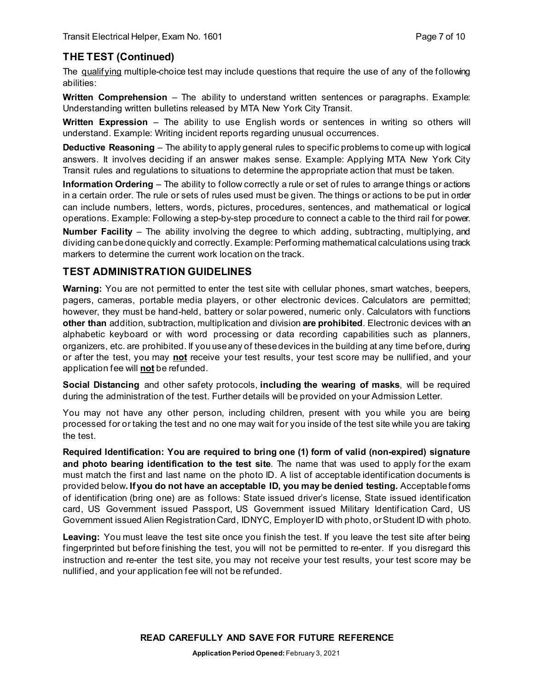# **THE TEST (Continued)**

The qualifying multiple-choice test may include questions that require the use of any of the following abilities:

**Written Comprehension** – The ability to understand written sentences or paragraphs. Example: Understanding written bulletins released by MTA New York City Transit.

**Written Expression** – The ability to use English words or sentences in writing so others will understand. Example: Writing incident reports regarding unusual occurrences.

**Deductive Reasoning** – The ability to apply general rules to specific problems to come up with logical answers. It involves deciding if an answer makes sense. Example: Applying MTA New York City Transit rules and regulations to situations to determine the appropriate action that must be taken.

**Information Ordering** – The ability to follow correctly a rule or set of rules to arrange things or actions in a certain order. The rule or sets of rules used must be given. The things or actions to be put in order can include numbers, letters, words, pictures, procedures, sentences, and mathematical or logical operations. Example: Following a step-by-step procedure to connect a cable to the third rail for power. **Number Facility** – The ability involving the degree to which adding, subtracting, multiplying, and dividing can be done quickly and correctly. Example: Performing mathematical calculations using track markers to determine the current work location on the track.

#### **TEST ADMINISTRATION GUIDELINES**

**Warning:** You are not permitted to enter the test site with cellular phones, smart watches, beepers, pagers, cameras, portable media players, or other electronic devices. Calculators are permitted; however, they must be hand-held, battery or solar powered, numeric only. Calculators with functions **other than** addition, subtraction, multiplication and division **are prohibited**. Electronic devices with an alphabetic keyboard or with word processing or data recording capabilities such as planners, organizers, etc. are prohibited. If you use any of these devices in the building at any time before, during or after the test, you may **not** receive your test results, your test score may be nullified, and your application fee will **not** be refunded.

**Social Distancing** and other safety protocols, **including the wearing of masks**, will be required during the administration of the test. Further details will be provided on your Admission Letter.

You may not have any other person, including children, present with you while you are being processed for or taking the test and no one may wait for you inside of the test site while you are taking the test.

**Required Identification: You are required to bring one (1) form of valid (non-expired) signature and photo bearing identification to the test site**. The name that was used to apply for the exam must match the first and last name on the photo ID. A list of acceptable identification documents is provided below**. If you do not have an acceptable ID, you may be denied testing.** Acceptable forms of identification (bring one) are as follows: State issued driver's license, State issued identification card, US Government issued Passport, US Government issued Military Identification Card, US Government issued Alien Registration Card, IDNYC, Employer ID with photo, or Student ID with photo.

Leaving: You must leave the test site once you finish the test. If you leave the test site after being fingerprinted but before finishing the test, you will not be permitted to re-enter. If you disregard this instruction and re-enter the test site, you may not receive your test results, your test score may be nullified, and your application fee will not be refunded.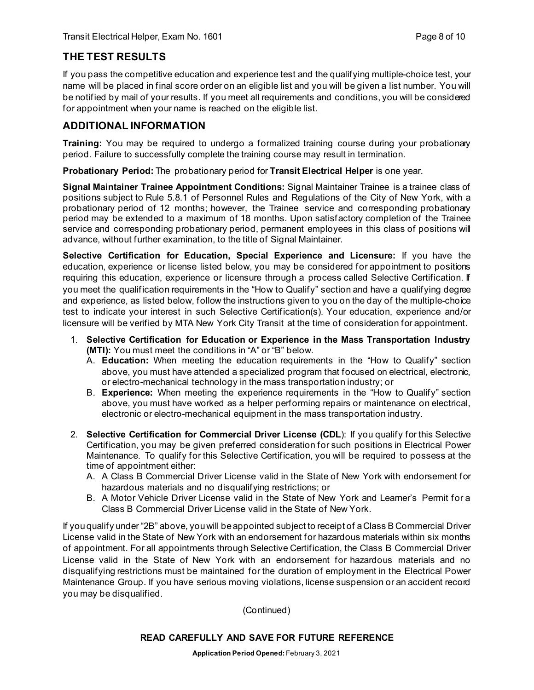# **THE TEST RESULTS**

If you pass the competitive education and experience test and the qualifying multiple-choice test, your name will be placed in final score order on an eligible list and you will be given a list number. You will be notified by mail of your results. If you meet all requirements and conditions, you will be considered for appointment when your name is reached on the eligible list.

#### **ADDITIONAL INFORMATION**

**Training:** You may be required to undergo a formalized training course during your probationary period. Failure to successfully complete the training course may result in termination.

**Probationary Period:** The probationary period for **Transit Electrical Helper** is one year.

**Signal Maintainer Trainee Appointment Conditions:** Signal Maintainer Trainee is a trainee class of positions subject to Rule 5.8.1 of Personnel Rules and Regulations of the City of New York, with a probationary period of 12 months; however, the Trainee service and corresponding probationary period may be extended to a maximum of 18 months. Upon satisfactory completion of the Trainee service and corresponding probationary period, permanent employees in this class of positions will advance, without further examination, to the title of Signal Maintainer.

**Selective Certification for Education, Special Experience and Licensure:** If you have the education, experience or license listed below, you may be considered for appointment to positions requiring this education, experience or licensure through a process called Selective Certification. If you meet the qualification requirements in the "How to Qualify" section and have a qualifying degree and experience, as listed below, follow the instructions given to you on the day of the multiple-choice test to indicate your interest in such Selective Certification(s). Your education, experience and/or licensure will be verified by MTA New York City Transit at the time of consideration for appointment.

- 1. **Selective Certification for Education or Experience in the Mass Transportation Industry (MTI):** You must meet the conditions in "A" or "B" below.
	- A. **Education:** When meeting the education requirements in the "How to Qualify" section above, you must have attended a specialized program that focused on electrical, electronic, or electro-mechanical technology in the mass transportation industry; or
	- B. **Experience:** When meeting the experience requirements in the "How to Qualify" section above, you must have worked as a helper performing repairs or maintenance on electrical, electronic or electro-mechanical equipment in the mass transportation industry.
- 2. **Selective Certification for Commercial Driver License (CDL**): If you qualify for this Selective Certification, you may be given preferred consideration for such positions in Electrical Power Maintenance. To qualify for this Selective Certification, you will be required to possess at the time of appointment either:
	- A. A Class B Commercial Driver License valid in the State of New York with endorsement for hazardous materials and no disqualifying restrictions; or
	- B. A Motor Vehicle Driver License valid in the State of New York and Learner's Permit for a Class B Commercial Driver License valid in the State of New York.

If you qualify under "2B" above, you will be appointed subject to receipt of a Class B Commercial Driver License valid in the State of New York with an endorsement for hazardous materials within six months of appointment. For all appointments through Selective Certification, the Class B Commercial Driver License valid in the State of New York with an endorsement for hazardous materials and no disqualifying restrictions must be maintained for the duration of employment in the Electrical Power Maintenance Group. If you have serious moving violations, license suspension or an accident record you may be disqualified.

(Continued)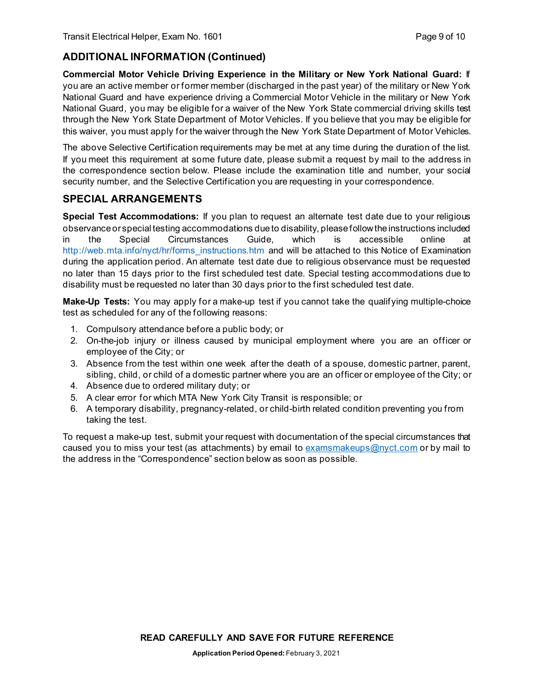# **ADDITIONAL INFORMATION (Continued)**

**Commercial Motor Vehicle Driving Experience in the Military or New York National Guard:** If you are an active member or former member (discharged in the past year) of the military or New York National Guard and have experience driving a Commercial Motor Vehicle in the military or New York National Guard, you may be eligible for a waiver of the New York State commercial driving skills test through the New York State Department of Motor Vehicles. If you believe that you may be eligible for this waiver, you must apply for the waiver through the New York State Department of Motor Vehicles.

The above Selective Certification requirements may be met at any time during the duration of the list. If you meet this requirement at some future date, please submit a request by mail to the address in the correspondence section below. Please include the examination title and number, your social security number, and the Selective Certification you are requesting in your correspondence.

#### **SPECIAL ARRANGEMENTS**

**Special Test Accommodations:** If you plan to request an alternate test date due to your religious observance or special testing accommodations due to disability, please follow the instructions included in the Special Circumstances Guide, which is accessible online at [http://web.mta.info/nyct/hr/forms\\_instructions.htm](http://web.mta.info/nyct/hr/forms_instructions.htm) and will be attached to this Notice of Examination during the application period. An alternate test date due to religious observance must be requested no later than 15 days prior to the first scheduled test date. Special testing accommodations due to disability must be requested no later than 30 days prior to the first scheduled test date.

**Make-Up Tests:** You may apply for a make-up test if you cannot take the qualifying multiple-choice test as scheduled for any of the following reasons:

- 1. Compulsory attendance before a public body; or
- 2. On-the-job injury or illness caused by municipal employment where you are an officer or employee of the City; or
- 3. Absence from the test within one week after the death of a spouse, domestic partner, parent, sibling, child, or child of a domestic partner where you are an officer or employee of the City; or
- 4. Absence due to ordered military duty; or
- 5. A clear error for which MTA New York City Transit is responsible; or
- 6. A temporary disability, pregnancy-related, or child-birth related condition preventing you from taking the test.

To request a make-up test, submit your request with documentation of the special circumstances that caused you to miss your test (as attachments) by email to [examsmakeups@nyct.com](mailto:examsmakeups@nyct.com) or by mail to the address in the "Correspondence" section below as soon as possible.